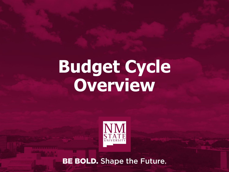# **Budget Cycle Overview**



**BE BOLD.** Shape the Future.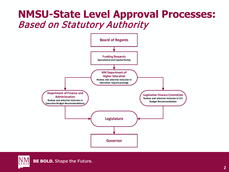#### **NMSU-State Level Approval Processes:**  Based on Statutory Authority



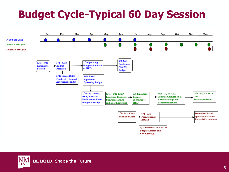### **Budget Cycle-Typical 60 Day Session**



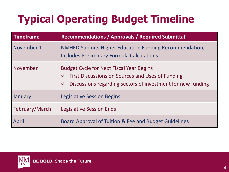## **Typical Operating Budget Timeline**

| <b>Timeframe</b> | <b>Recommendations / Approvals / Required Submittal</b>                                                                                                                         |
|------------------|---------------------------------------------------------------------------------------------------------------------------------------------------------------------------------|
| November 1       | <b>NMHED Submits Higher Education Funding Recommendation;</b><br><b>Includes Preliminary Formula Calculations</b>                                                               |
| November         | <b>Budget Cycle for Next Fiscal Year Begins</b><br>$\checkmark$ First Discussions on Sources and Uses of Funding<br>Discussions regarding sectors of investment for new funding |
| January          | <b>Legislative Session Begins</b>                                                                                                                                               |
| February/March   | <b>Legislative Session Ends</b>                                                                                                                                                 |
| April            | Board Approval of Tuition & Fee and Budget Guidelines                                                                                                                           |